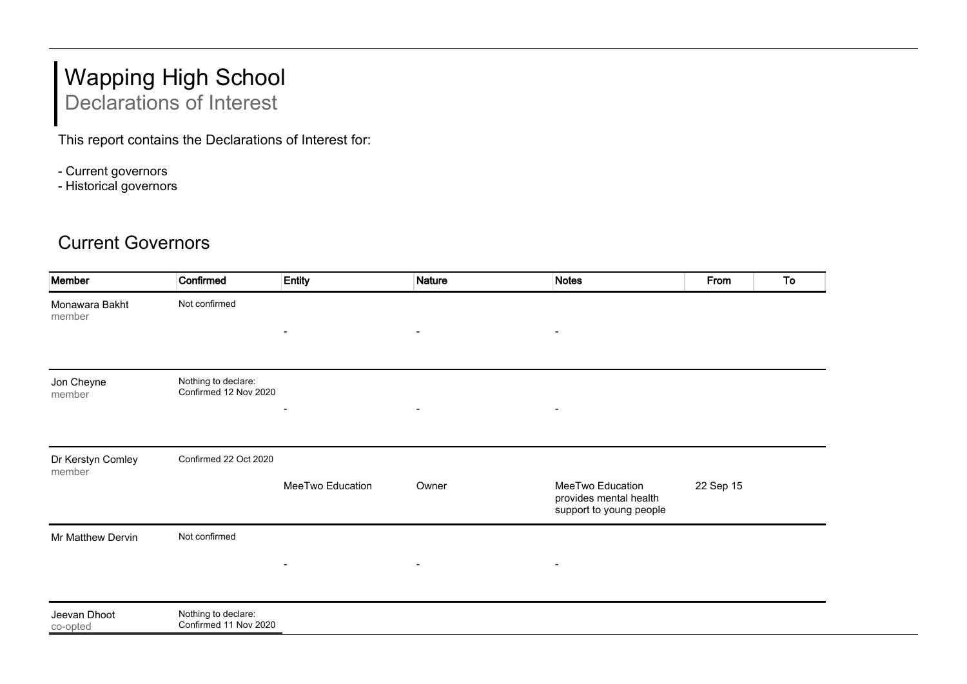## Wapping High School Declarations of Interest

This report contains the Declarations of Interest for:

- Current governors
- Historical governors

## Current Governors

| Member                      | Confirmed                                    | Entity                   | <b>Nature</b>            | <b>Notes</b>                                                          | From      | To |
|-----------------------------|----------------------------------------------|--------------------------|--------------------------|-----------------------------------------------------------------------|-----------|----|
| Monawara Bakht<br>member    | Not confirmed                                | $\blacksquare$           | $\overline{\phantom{a}}$ | $\blacksquare$                                                        |           |    |
| Jon Cheyne<br>member        | Nothing to declare:<br>Confirmed 12 Nov 2020 |                          | $\overline{\phantom{a}}$ |                                                                       |           |    |
| Dr Kerstyn Comley<br>member | Confirmed 22 Oct 2020                        | MeeTwo Education         | Owner                    | MeeTwo Education<br>provides mental health<br>support to young people | 22 Sep 15 |    |
| Mr Matthew Dervin           | Not confirmed                                | $\overline{\phantom{a}}$ | $\overline{\phantom{a}}$ | $\blacksquare$                                                        |           |    |
| Jeevan Dhoot<br>co-opted    | Nothing to declare:<br>Confirmed 11 Nov 2020 |                          |                          |                                                                       |           |    |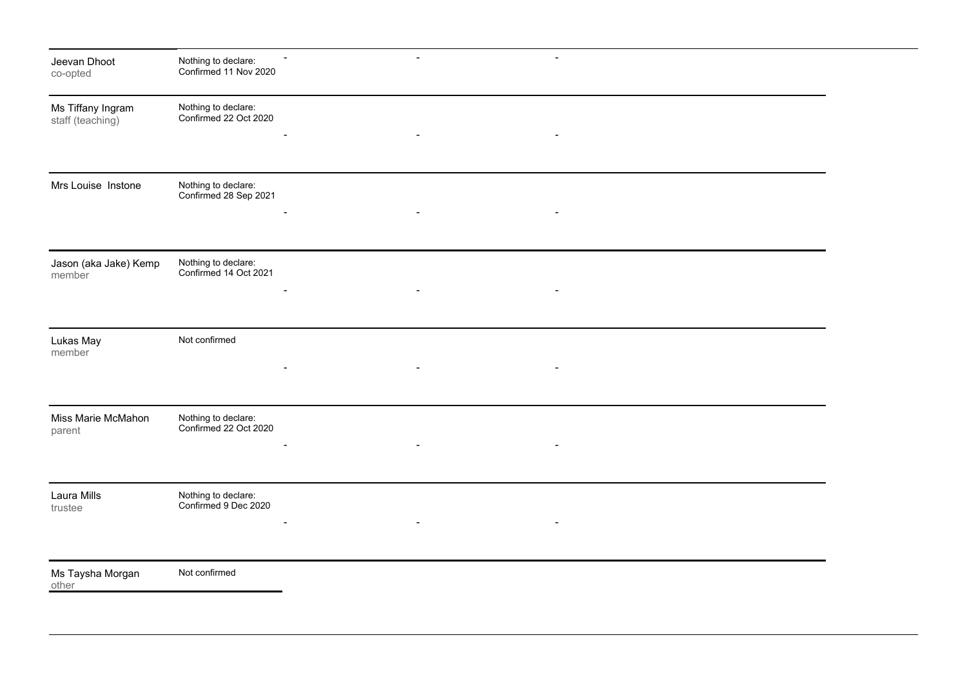| Jeevan Dhoot<br>co-opted              | Nothing to declare:<br>Confirmed 11 Nov 2020 | $\overline{\phantom{a}}$ | $\blacksquare$           |  |  |
|---------------------------------------|----------------------------------------------|--------------------------|--------------------------|--|--|
| Ms Tiffany Ingram<br>staff (teaching) | Nothing to declare:<br>Confirmed 22 Oct 2020 | $\overline{\phantom{a}}$ | $\overline{\phantom{a}}$ |  |  |
| Mrs Louise Instone                    | Nothing to declare:<br>Confirmed 28 Sep 2021 |                          |                          |  |  |
|                                       |                                              |                          |                          |  |  |
| Jason (aka Jake) Kemp<br>member       | Nothing to declare:<br>Confirmed 14 Oct 2021 |                          |                          |  |  |
| Lukas May<br>member                   | Not confirmed                                | $\overline{\phantom{a}}$ | $\blacksquare$           |  |  |
| Miss Marie McMahon<br>parent          | Nothing to declare:<br>Confirmed 22 Oct 2020 |                          |                          |  |  |
| Laura Mills<br>trustee                | Nothing to declare:<br>Confirmed 9 Dec 2020  |                          |                          |  |  |
| Ms Taysha Morgan<br>other             | Not confirmed                                |                          |                          |  |  |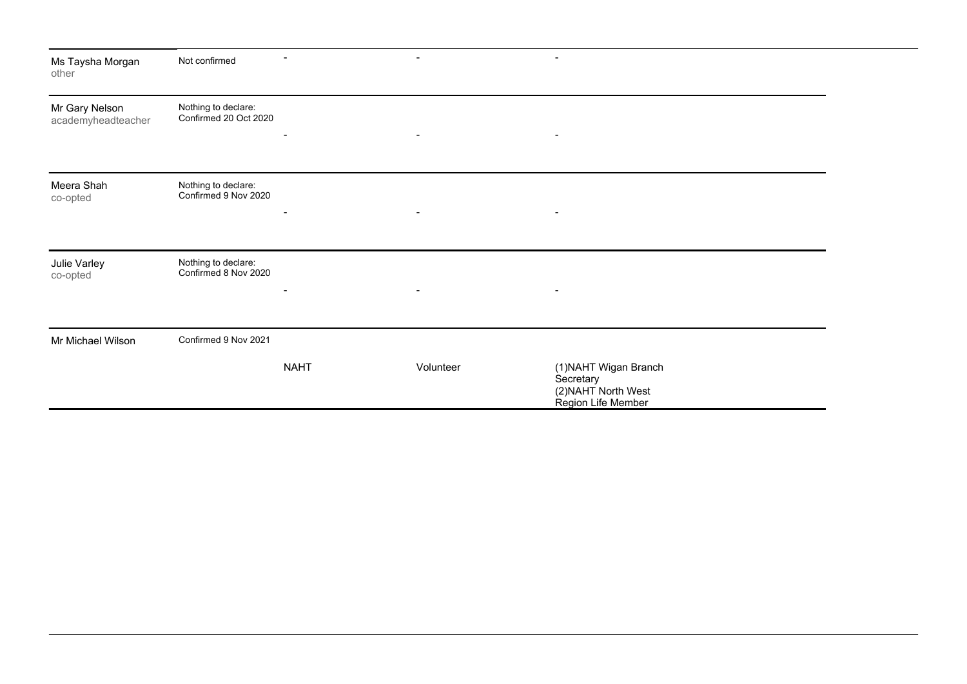| Ms Taysha Morgan<br>other            | Not confirmed                                |             | $\blacksquare$ | $\overline{\phantom{a}}$                                                        |  |
|--------------------------------------|----------------------------------------------|-------------|----------------|---------------------------------------------------------------------------------|--|
| Mr Gary Nelson<br>academyheadteacher | Nothing to declare:<br>Confirmed 20 Oct 2020 |             | $\blacksquare$ | $\blacksquare$                                                                  |  |
|                                      |                                              |             |                |                                                                                 |  |
| Meera Shah<br>co-opted               | Nothing to declare:<br>Confirmed 9 Nov 2020  |             | $\blacksquare$ | $\blacksquare$                                                                  |  |
| Julie Varley<br>co-opted             | Nothing to declare:<br>Confirmed 8 Nov 2020  |             | $\blacksquare$ | $\blacksquare$                                                                  |  |
| Mr Michael Wilson                    | Confirmed 9 Nov 2021                         |             |                |                                                                                 |  |
|                                      |                                              | <b>NAHT</b> | Volunteer      | (1) NAHT Wigan Branch<br>Secretary<br>(2) NAHT North West<br>Region Life Member |  |